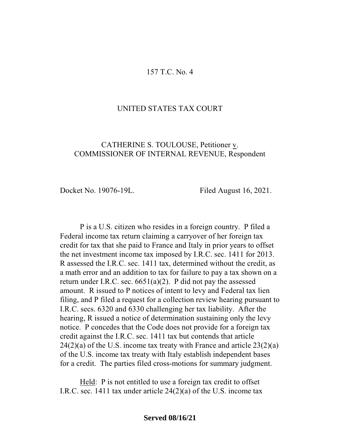### 157 T.C. No. 4

## UNITED STATES TAX COURT

## CATHERINE S. TOULOUSE, Petitioner v. COMMISSIONER OF INTERNAL REVENUE, Respondent

Docket No. 19076-19L. Filed August 16, 2021.

P is a U.S. citizen who resides in a foreign country. P filed a Federal income tax return claiming a carryover of her foreign tax credit for tax that she paid to France and Italy in prior years to offset the net investment income tax imposed by I.R.C. sec. 1411 for 2013. R assessed the I.R.C. sec. 1411 tax, determined without the credit, as a math error and an addition to tax for failure to pay a tax shown on a return under I.R.C. sec.  $6651(a)(2)$ . P did not pay the assessed amount. R issued to P notices of intent to levy and Federal tax lien filing, and P filed a request for a collection review hearing pursuant to I.R.C. secs. 6320 and 6330 challenging her tax liability. After the hearing, R issued a notice of determination sustaining only the levy notice. P concedes that the Code does not provide for a foreign tax credit against the I.R.C. sec. 1411 tax but contends that article  $24(2)(a)$  of the U.S. income tax treaty with France and article  $23(2)(a)$ of the U.S. income tax treaty with Italy establish independent bases for a credit. The parties filed cross-motions for summary judgment.

Held: P is not entitled to use a foreign tax credit to offset I.R.C. sec. 1411 tax under article 24(2)(a) of the U.S. income tax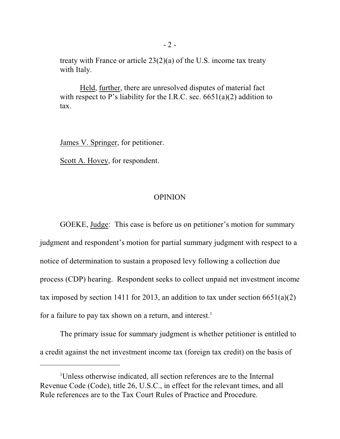treaty with France or article 23(2)(a) of the U.S. income tax treaty with Italy.

Held, further, there are unresolved disputes of material fact with respect to P's liability for the I.R.C. sec.  $6651(a)(2)$  addition to tax.

James V. Springer, for petitioner.

Scott A. Hovey, for respondent.

## OPINION

GOEKE, Judge: This case is before us on petitioner's motion for summary judgment and respondent's motion for partial summary judgment with respect to a notice of determination to sustain a proposed levy following a collection due process (CDP) hearing. Respondent seeks to collect unpaid net investment income tax imposed by section 1411 for 2013, an addition to tax under section  $6651(a)(2)$ for a failure to pay tax shown on a return, and interest. 1

The primary issue for summary judgment is whether petitioner is entitled to a credit against the net investment income tax (foreign tax credit) on the basis of

<sup>1</sup>Unless otherwise indicated, all section references are to the Internal Revenue Code (Code), title 26, U.S.C., in effect for the relevant times, and all Rule references are to the Tax Court Rules of Practice and Procedure.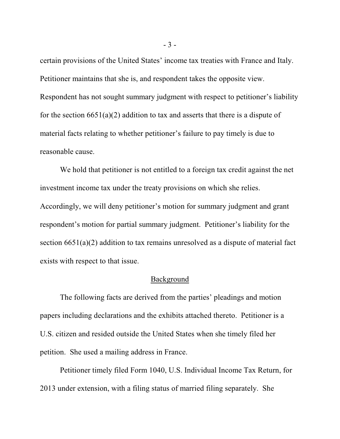certain provisions of the United States' income tax treaties with France and Italy. Petitioner maintains that she is, and respondent takes the opposite view. Respondent has not sought summary judgment with respect to petitioner's liability for the section  $6651(a)(2)$  addition to tax and asserts that there is a dispute of material facts relating to whether petitioner's failure to pay timely is due to reasonable cause.

We hold that petitioner is not entitled to a foreign tax credit against the net investment income tax under the treaty provisions on which she relies. Accordingly, we will deny petitioner's motion for summary judgment and grant respondent's motion for partial summary judgment. Petitioner's liability for the section 6651(a)(2) addition to tax remains unresolved as a dispute of material fact exists with respect to that issue.

#### Background

The following facts are derived from the parties' pleadings and motion papers including declarations and the exhibits attached thereto. Petitioner is a U.S. citizen and resided outside the United States when she timely filed her petition. She used a mailing address in France.

Petitioner timely filed Form 1040, U.S. Individual Income Tax Return, for 2013 under extension, with a filing status of married filing separately. She

- 3 -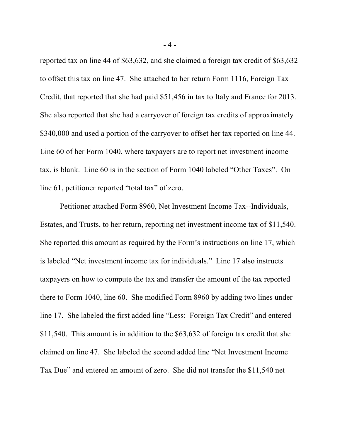reported tax on line 44 of \$63,632, and she claimed a foreign tax credit of \$63,632 to offset this tax on line 47. She attached to her return Form 1116, Foreign Tax Credit, that reported that she had paid \$51,456 in tax to Italy and France for 2013. She also reported that she had a carryover of foreign tax credits of approximately \$340,000 and used a portion of the carryover to offset her tax reported on line 44. Line 60 of her Form 1040, where taxpayers are to report net investment income tax, is blank. Line 60 is in the section of Form 1040 labeled "Other Taxes". On line 61, petitioner reported "total tax" of zero.

Petitioner attached Form 8960, Net Investment Income Tax--Individuals, Estates, and Trusts, to her return, reporting net investment income tax of \$11,540. She reported this amount as required by the Form's instructions on line 17, which is labeled "Net investment income tax for individuals." Line 17 also instructs taxpayers on how to compute the tax and transfer the amount of the tax reported there to Form 1040, line 60. She modified Form 8960 by adding two lines under line 17. She labeled the first added line "Less: Foreign Tax Credit" and entered \$11,540. This amount is in addition to the \$63,632 of foreign tax credit that she claimed on line 47. She labeled the second added line "Net Investment Income Tax Due" and entered an amount of zero. She did not transfer the \$11,540 net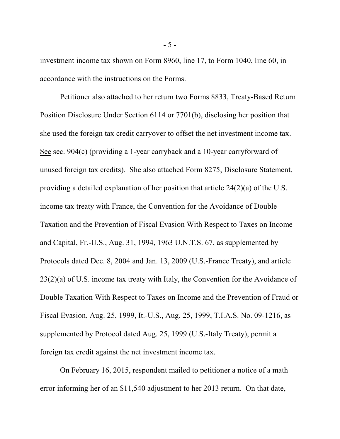investment income tax shown on Form 8960, line 17, to Form 1040, line 60, in accordance with the instructions on the Forms.

Petitioner also attached to her return two Forms 8833, Treaty-Based Return Position Disclosure Under Section 6114 or 7701(b), disclosing her position that she used the foreign tax credit carryover to offset the net investment income tax. See sec. 904(c) (providing a 1-year carryback and a 10-year carryforward of unused foreign tax credits). She also attached Form 8275, Disclosure Statement, providing a detailed explanation of her position that article 24(2)(a) of the U.S. income tax treaty with France, the Convention for the Avoidance of Double Taxation and the Prevention of Fiscal Evasion With Respect to Taxes on Income and Capital, Fr.-U.S., Aug. 31, 1994, 1963 U.N.T.S. 67, as supplemented by Protocols dated Dec. 8, 2004 and Jan. 13, 2009 (U.S.-France Treaty), and article 23(2)(a) of U.S. income tax treaty with Italy, the Convention for the Avoidance of Double Taxation With Respect to Taxes on Income and the Prevention of Fraud or Fiscal Evasion, Aug. 25, 1999, It.-U.S., Aug. 25, 1999, T.I.A.S. No. 09-1216, as supplemented by Protocol dated Aug. 25, 1999 (U.S.-Italy Treaty), permit a foreign tax credit against the net investment income tax.

On February 16, 2015, respondent mailed to petitioner a notice of a math error informing her of an \$11,540 adjustment to her 2013 return. On that date,

- 5 -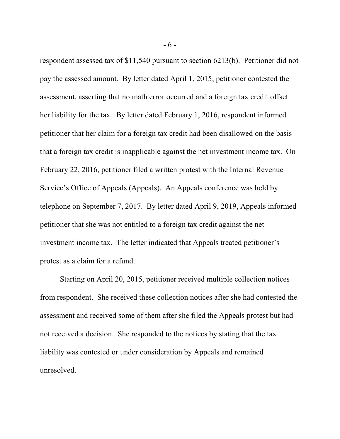respondent assessed tax of \$11,540 pursuant to section 6213(b). Petitioner did not pay the assessed amount. By letter dated April 1, 2015, petitioner contested the assessment, asserting that no math error occurred and a foreign tax credit offset her liability for the tax. By letter dated February 1, 2016, respondent informed petitioner that her claim for a foreign tax credit had been disallowed on the basis that a foreign tax credit is inapplicable against the net investment income tax. On February 22, 2016, petitioner filed a written protest with the Internal Revenue Service's Office of Appeals (Appeals). An Appeals conference was held by telephone on September 7, 2017. By letter dated April 9, 2019, Appeals informed petitioner that she was not entitled to a foreign tax credit against the net investment income tax. The letter indicated that Appeals treated petitioner's protest as a claim for a refund.

Starting on April 20, 2015, petitioner received multiple collection notices from respondent. She received these collection notices after she had contested the assessment and received some of them after she filed the Appeals protest but had not received a decision. She responded to the notices by stating that the tax liability was contested or under consideration by Appeals and remained unresolved.

- 6 -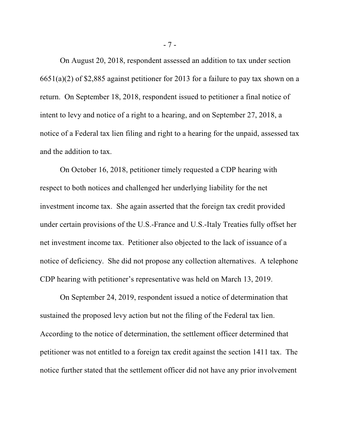On August 20, 2018, respondent assessed an addition to tax under section 6651(a)(2) of \$2,885 against petitioner for 2013 for a failure to pay tax shown on a return. On September 18, 2018, respondent issued to petitioner a final notice of intent to levy and notice of a right to a hearing, and on September 27, 2018, a notice of a Federal tax lien filing and right to a hearing for the unpaid, assessed tax and the addition to tax.

On October 16, 2018, petitioner timely requested a CDP hearing with respect to both notices and challenged her underlying liability for the net investment income tax. She again asserted that the foreign tax credit provided under certain provisions of the U.S.-France and U.S.-Italy Treaties fully offset her net investment income tax. Petitioner also objected to the lack of issuance of a notice of deficiency. She did not propose any collection alternatives. A telephone CDP hearing with petitioner's representative was held on March 13, 2019.

On September 24, 2019, respondent issued a notice of determination that sustained the proposed levy action but not the filing of the Federal tax lien. According to the notice of determination, the settlement officer determined that petitioner was not entitled to a foreign tax credit against the section 1411 tax. The notice further stated that the settlement officer did not have any prior involvement

- 7 -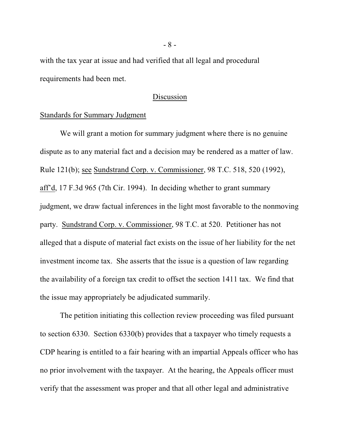with the tax year at issue and had verified that all legal and procedural requirements had been met.

# Discussion

# Standards for Summary Judgment

We will grant a motion for summary judgment where there is no genuine dispute as to any material fact and a decision may be rendered as a matter of law. Rule 121(b); see Sundstrand Corp. v. Commissioner, 98 T.C. 518, 520 (1992), aff'd, 17 F.3d 965 (7th Cir. 1994). In deciding whether to grant summary judgment, we draw factual inferences in the light most favorable to the nonmoving party. Sundstrand Corp. v. Commissioner, 98 T.C. at 520. Petitioner has not alleged that a dispute of material fact exists on the issue of her liability for the net investment income tax. She asserts that the issue is a question of law regarding the availability of a foreign tax credit to offset the section 1411 tax. We find that the issue may appropriately be adjudicated summarily.

The petition initiating this collection review proceeding was filed pursuant to section 6330. Section 6330(b) provides that a taxpayer who timely requests a CDP hearing is entitled to a fair hearing with an impartial Appeals officer who has no prior involvement with the taxpayer. At the hearing, the Appeals officer must verify that the assessment was proper and that all other legal and administrative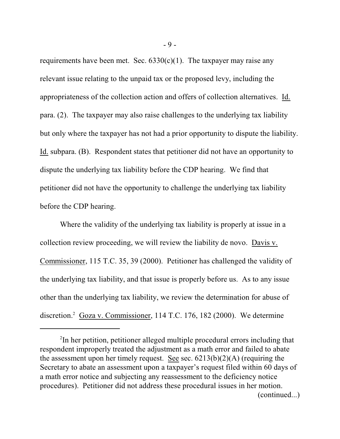requirements have been met. Sec.  $6330(c)(1)$ . The taxpayer may raise any relevant issue relating to the unpaid tax or the proposed levy, including the appropriateness of the collection action and offers of collection alternatives. Id. para. (2). The taxpayer may also raise challenges to the underlying tax liability but only where the taxpayer has not had a prior opportunity to dispute the liability. Id. subpara. (B). Respondent states that petitioner did not have an opportunity to dispute the underlying tax liability before the CDP hearing. We find that petitioner did not have the opportunity to challenge the underlying tax liability before the CDP hearing.

Where the validity of the underlying tax liability is properly at issue in a collection review proceeding, we will review the liability de novo. Davis v. Commissioner, 115 T.C. 35, 39 (2000). Petitioner has challenged the validity of the underlying tax liability, and that issue is properly before us. As to any issue other than the underlying tax liability, we review the determination for abuse of discretion.<sup>2</sup> Goza v. Commissioner, 114 T.C. 176, 182 (2000). We determine

- 9 -

<sup>&</sup>lt;sup>2</sup>In her petition, petitioner alleged multiple procedural errors including that respondent improperly treated the adjustment as a math error and failed to abate the assessment upon her timely request. See sec.  $6213(b)(2)(A)$  (requiring the Secretary to abate an assessment upon a taxpayer's request filed within 60 days of a math error notice and subjecting any reassessment to the deficiency notice procedures). Petitioner did not address these procedural issues in her motion. (continued...)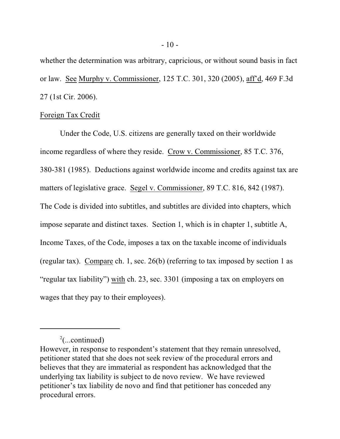whether the determination was arbitrary, capricious, or without sound basis in fact or law. See Murphy v. Commissioner, 125 T.C. 301, 320 (2005), aff'd, 469 F.3d 27 (1st Cir. 2006).

### Foreign Tax Credit

Under the Code, U.S. citizens are generally taxed on their worldwide income regardless of where they reside. Crow v. Commissioner, 85 T.C. 376, 380-381 (1985). Deductions against worldwide income and credits against tax are matters of legislative grace. Segel v. Commissioner, 89 T.C. 816, 842 (1987). The Code is divided into subtitles, and subtitles are divided into chapters, which impose separate and distinct taxes. Section 1, which is in chapter 1, subtitle A, Income Taxes, of the Code, imposes a tax on the taxable income of individuals (regular tax). Compare ch. 1, sec. 26(b) (referring to tax imposed by section 1 as "regular tax liability") with ch. 23, sec. 3301 (imposing a tax on employers on wages that they pay to their employees).

 $2$ (...continued)

However, in response to respondent's statement that they remain unresolved, petitioner stated that she does not seek review of the procedural errors and believes that they are immaterial as respondent has acknowledged that the underlying tax liability is subject to de novo review. We have reviewed petitioner's tax liability de novo and find that petitioner has conceded any procedural errors.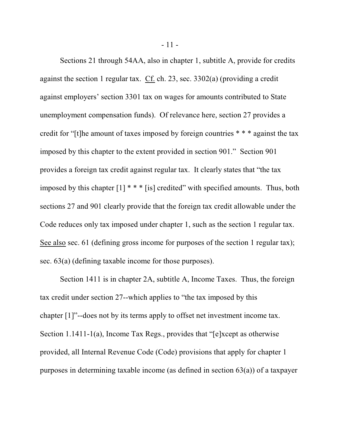Sections 21 through 54AA, also in chapter 1, subtitle A, provide for credits against the section 1 regular tax. Cf. ch. 23, sec. 3302(a) (providing a credit against employers' section 3301 tax on wages for amounts contributed to State unemployment compensation funds). Of relevance here, section 27 provides a credit for "[t]he amount of taxes imposed by foreign countries \* \* \* against the tax imposed by this chapter to the extent provided in section 901." Section 901 provides a foreign tax credit against regular tax. It clearly states that "the tax imposed by this chapter [1] \* \* \* [is] credited" with specified amounts. Thus, both sections 27 and 901 clearly provide that the foreign tax credit allowable under the Code reduces only tax imposed under chapter 1, such as the section 1 regular tax. See also sec. 61 (defining gross income for purposes of the section 1 regular tax); sec. 63(a) (defining taxable income for those purposes).

Section 1411 is in chapter 2A, subtitle A, Income Taxes. Thus, the foreign tax credit under section 27--which applies to "the tax imposed by this chapter [1]"--does not by its terms apply to offset net investment income tax. Section 1.1411-1(a), Income Tax Regs., provides that "[e]xcept as otherwise provided, all Internal Revenue Code (Code) provisions that apply for chapter 1 purposes in determining taxable income (as defined in section 63(a)) of a taxpayer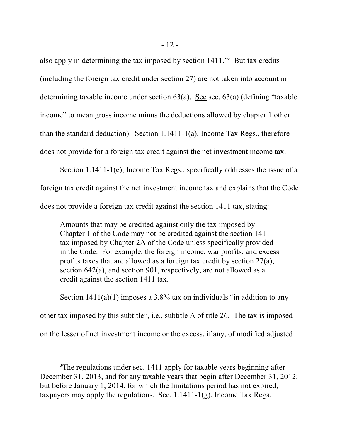also apply in determining the tax imposed by section 1411."<sup>3</sup> But tax credits (including the foreign tax credit under section 27) are not taken into account in determining taxable income under section 63(a). See sec. 63(a) (defining "taxable income" to mean gross income minus the deductions allowed by chapter 1 other than the standard deduction). Section 1.1411-1(a), Income Tax Regs., therefore does not provide for a foreign tax credit against the net investment income tax.

Section 1.1411-1(e), Income Tax Regs., specifically addresses the issue of a foreign tax credit against the net investment income tax and explains that the Code does not provide a foreign tax credit against the section 1411 tax, stating:

Amounts that may be credited against only the tax imposed by Chapter 1 of the Code may not be credited against the section 1411 tax imposed by Chapter 2A of the Code unless specifically provided in the Code. For example, the foreign income, war profits, and excess profits taxes that are allowed as a foreign tax credit by section 27(a), section 642(a), and section 901, respectively, are not allowed as a credit against the section 1411 tax.

Section  $1411(a)(1)$  imposes a 3.8% tax on individuals "in addition to any other tax imposed by this subtitle", i.e., subtitle A of title 26. The tax is imposed on the lesser of net investment income or the excess, if any, of modified adjusted

<sup>&</sup>lt;sup>3</sup>The regulations under sec. 1411 apply for taxable years beginning after December 31, 2013, and for any taxable years that begin after December 31, 2012; but before January 1, 2014, for which the limitations period has not expired, taxpayers may apply the regulations. Sec. 1.1411-1(g), Income Tax Regs.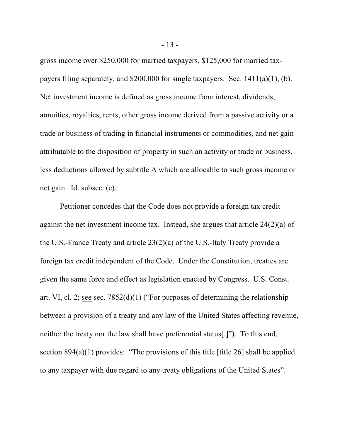gross income over \$250,000 for married taxpayers, \$125,000 for married taxpayers filing separately, and \$200,000 for single taxpayers. Sec. 1411(a)(1), (b). Net investment income is defined as gross income from interest, dividends, annuities, royalties, rents, other gross income derived from a passive activity or a trade or business of trading in financial instruments or commodities, and net gain attributable to the disposition of property in such an activity or trade or business, less deductions allowed by subtitle A which are allocable to such gross income or net gain. Id. subsec. (c).

Petitioner concedes that the Code does not provide a foreign tax credit against the net investment income tax. Instead, she argues that article 24(2)(a) of the U.S.-France Treaty and article 23(2)(a) of the U.S.-Italy Treaty provide a foreign tax credit independent of the Code. Under the Constitution, treaties are given the same force and effect as legislation enacted by Congress. U.S. Const. art. VI, cl. 2; see sec. 7852(d)(1) ("For purposes of determining the relationship between a provision of a treaty and any law of the United States affecting revenue, neither the treaty nor the law shall have preferential status[.]"). To this end, section  $894(a)(1)$  provides: "The provisions of this title [title 26] shall be applied to any taxpayer with due regard to any treaty obligations of the United States".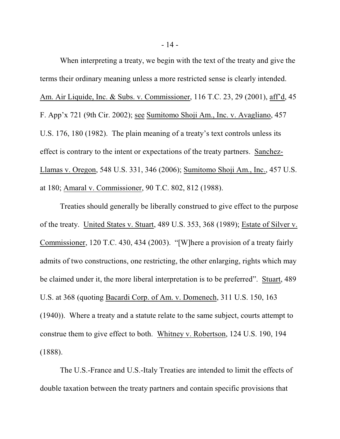When interpreting a treaty, we begin with the text of the treaty and give the terms their ordinary meaning unless a more restricted sense is clearly intended. Am. Air Liquide, Inc. & Subs. v. Commissioner, 116 T.C. 23, 29 (2001), aff'd, 45 F. App'x 721 (9th Cir. 2002); see Sumitomo Shoji Am., Inc. v. Avagliano, 457 U.S. 176, 180 (1982). The plain meaning of a treaty's text controls unless its effect is contrary to the intent or expectations of the treaty partners. Sanchez-Llamas v. Oregon, 548 U.S. 331, 346 (2006); Sumitomo Shoji Am., Inc., 457 U.S. at 180; Amaral v. Commissioner, 90 T.C. 802, 812 (1988).

Treaties should generally be liberally construed to give effect to the purpose of the treaty. United States v. Stuart, 489 U.S. 353, 368 (1989); Estate of Silver v. Commissioner, 120 T.C. 430, 434 (2003). "[W]here a provision of a treaty fairly admits of two constructions, one restricting, the other enlarging, rights which may be claimed under it, the more liberal interpretation is to be preferred". Stuart, 489 U.S. at 368 (quoting Bacardi Corp. of Am. v. Domenech, 311 U.S. 150, 163 (1940)). Where a treaty and a statute relate to the same subject, courts attempt to construe them to give effect to both. Whitney v. Robertson, 124 U.S. 190, 194 (1888).

The U.S.-France and U.S.-Italy Treaties are intended to limit the effects of double taxation between the treaty partners and contain specific provisions that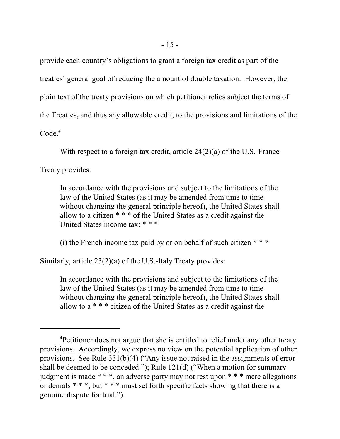provide each country's obligations to grant a foreign tax credit as part of the treaties' general goal of reducing the amount of double taxation. However, the plain text of the treaty provisions on which petitioner relies subject the terms of the Treaties, and thus any allowable credit, to the provisions and limitations of the Code.<sup>4</sup>

With respect to a foreign tax credit, article 24(2)(a) of the U.S.-France

Treaty provides:

In accordance with the provisions and subject to the limitations of the law of the United States (as it may be amended from time to time without changing the general principle hereof), the United States shall allow to a citizen \* \* \* of the United States as a credit against the United States income tax: \* \* \*

(i) the French income tax paid by or on behalf of such citizen  $***$ 

Similarly, article 23(2)(a) of the U.S.-Italy Treaty provides:

In accordance with the provisions and subject to the limitations of the law of the United States (as it may be amended from time to time without changing the general principle hereof), the United States shall allow to a \* \* \* citizen of the United States as a credit against the

<sup>&</sup>lt;sup>4</sup>Petitioner does not argue that she is entitled to relief under any other treaty provisions. Accordingly, we express no view on the potential application of other provisions. See Rule 331(b)(4) ("Any issue not raised in the assignments of error shall be deemed to be conceded."); Rule 121(d) ("When a motion for summary judgment is made \* \* \*, an adverse party may not rest upon \* \* \* mere allegations or denials \* \* \*, but \* \* \* must set forth specific facts showing that there is a genuine dispute for trial.").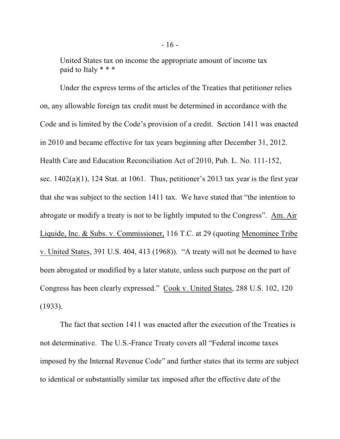United States tax on income the appropriate amount of income tax paid to Italy \* \* \*

Under the express terms of the articles of the Treaties that petitioner relies on, any allowable foreign tax credit must be determined in accordance with the Code and is limited by the Code's provision of a credit. Section 1411 was enacted in 2010 and became effective for tax years beginning after December 31, 2012. Health Care and Education Reconciliation Act of 2010, Pub. L. No. 111-152, sec.  $1402(a)(1)$ , 124 Stat. at 1061. Thus, petitioner's 2013 tax year is the first year that she was subject to the section 1411 tax. We have stated that "the intention to abrogate or modify a treaty is not to be lightly imputed to the Congress". Am. Air Liquide, Inc. & Subs. v. Commissioner, 116 T.C. at 29 (quoting Menominee Tribe v. United States, 391 U.S. 404, 413 (1968)). "A treaty will not be deemed to have been abrogated or modified by a later statute, unless such purpose on the part of Congress has been clearly expressed." Cook v. United States, 288 U.S. 102, 120 (1933).

The fact that section 1411 was enacted after the execution of the Treaties is not determinative. The U.S.-France Treaty covers all "Federal income taxes imposed by the Internal Revenue Code" and further states that its terms are subject to identical or substantially similar tax imposed after the effective date of the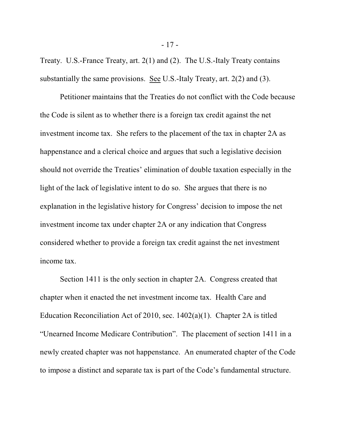Treaty. U.S.-France Treaty, art. 2(1) and (2). The U.S.-Italy Treaty contains substantially the same provisions. See U.S.-Italy Treaty, art. 2(2) and (3).

Petitioner maintains that the Treaties do not conflict with the Code because the Code is silent as to whether there is a foreign tax credit against the net investment income tax. She refers to the placement of the tax in chapter 2A as happenstance and a clerical choice and argues that such a legislative decision should not override the Treaties' elimination of double taxation especially in the light of the lack of legislative intent to do so. She argues that there is no explanation in the legislative history for Congress' decision to impose the net investment income tax under chapter 2A or any indication that Congress considered whether to provide a foreign tax credit against the net investment income tax.

Section 1411 is the only section in chapter 2A. Congress created that chapter when it enacted the net investment income tax. Health Care and Education Reconciliation Act of 2010, sec. 1402(a)(1). Chapter 2A is titled "Unearned Income Medicare Contribution". The placement of section 1411 in a newly created chapter was not happenstance. An enumerated chapter of the Code to impose a distinct and separate tax is part of the Code's fundamental structure.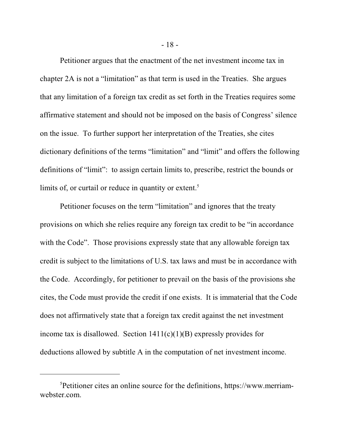Petitioner argues that the enactment of the net investment income tax in chapter 2A is not a "limitation" as that term is used in the Treaties. She argues that any limitation of a foreign tax credit as set forth in the Treaties requires some affirmative statement and should not be imposed on the basis of Congress' silence on the issue. To further support her interpretation of the Treaties, she cites dictionary definitions of the terms "limitation" and "limit" and offers the following definitions of "limit": to assign certain limits to, prescribe, restrict the bounds or limits of, or curtail or reduce in quantity or extent.<sup>5</sup>

Petitioner focuses on the term "limitation" and ignores that the treaty provisions on which she relies require any foreign tax credit to be "in accordance with the Code". Those provisions expressly state that any allowable foreign tax credit is subject to the limitations of U.S. tax laws and must be in accordance with the Code. Accordingly, for petitioner to prevail on the basis of the provisions she cites, the Code must provide the credit if one exists. It is immaterial that the Code does not affirmatively state that a foreign tax credit against the net investment income tax is disallowed. Section  $1411(c)(1)(B)$  expressly provides for deductions allowed by subtitle A in the computation of net investment income.

<sup>5</sup>Petitioner cites an online source for the definitions, https://www.merriamwebster.com.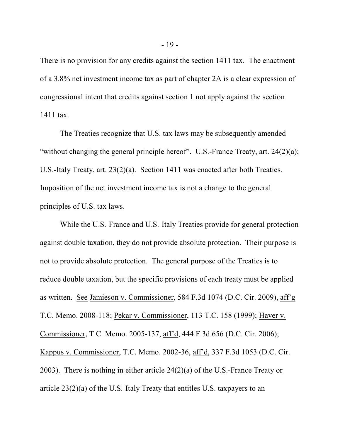There is no provision for any credits against the section 1411 tax. The enactment of a 3.8% net investment income tax as part of chapter 2A is a clear expression of congressional intent that credits against section 1 not apply against the section 1411 tax.

The Treaties recognize that U.S. tax laws may be subsequently amended "without changing the general principle hereof". U.S.-France Treaty, art. 24(2)(a); U.S.-Italy Treaty, art. 23(2)(a). Section 1411 was enacted after both Treaties. Imposition of the net investment income tax is not a change to the general principles of U.S. tax laws.

While the U.S.-France and U.S.-Italy Treaties provide for general protection against double taxation, they do not provide absolute protection. Their purpose is not to provide absolute protection. The general purpose of the Treaties is to reduce double taxation, but the specific provisions of each treaty must be applied as written. See Jamieson v. Commissioner, 584 F.3d 1074 (D.C. Cir. 2009), aff'g T.C. Memo. 2008-118; Pekar v. Commissioner, 113 T.C. 158 (1999); Haver v. Commissioner, T.C. Memo. 2005-137, aff'd, 444 F.3d 656 (D.C. Cir. 2006); Kappus v. Commissioner, T.C. Memo. 2002-36, aff'd, 337 F.3d 1053 (D.C. Cir. 2003). There is nothing in either article 24(2)(a) of the U.S.-France Treaty or article 23(2)(a) of the U.S.-Italy Treaty that entitles U.S. taxpayers to an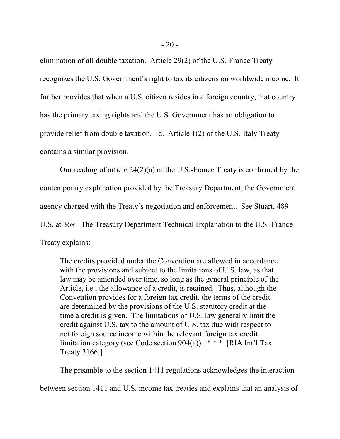elimination of all double taxation. Article 29(2) of the U.S.-France Treaty recognizes the U.S. Government's right to tax its citizens on worldwide income. It further provides that when a U.S. citizen resides in a foreign country, that country has the primary taxing rights and the U.S. Government has an obligation to provide relief from double taxation. Id. Article 1(2) of the U.S.-Italy Treaty contains a similar provision.

Our reading of article 24(2)(a) of the U.S.-France Treaty is confirmed by the contemporary explanation provided by the Treasury Department, the Government agency charged with the Treaty's negotiation and enforcement. See Stuart, 489 U.S. at 369. The Treasury Department Technical Explanation to the U.S.-France Treaty explains:

The credits provided under the Convention are allowed in accordance with the provisions and subject to the limitations of U.S. law, as that law may be amended over time, so long as the general principle of the Article, i.e., the allowance of a credit, is retained. Thus, although the Convention provides for a foreign tax credit, the terms of the credit are determined by the provisions of the U.S. statutory credit at the time a credit is given. The limitations of U.S. law generally limit the credit against U.S. tax to the amount of U.S. tax due with respect to net foreign source income within the relevant foreign tax credit limitation category (see Code section 904(a)).  $***$  [RIA Int'l Tax Treaty 3166.]

The preamble to the section 1411 regulations acknowledges the interaction between section 1411 and U.S. income tax treaties and explains that an analysis of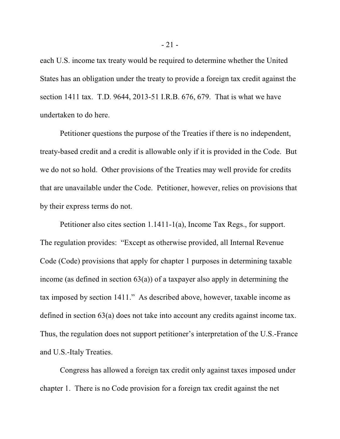each U.S. income tax treaty would be required to determine whether the United States has an obligation under the treaty to provide a foreign tax credit against the section 1411 tax. T.D. 9644, 2013-51 I.R.B. 676, 679. That is what we have undertaken to do here.

Petitioner questions the purpose of the Treaties if there is no independent, treaty-based credit and a credit is allowable only if it is provided in the Code. But we do not so hold. Other provisions of the Treaties may well provide for credits that are unavailable under the Code. Petitioner, however, relies on provisions that by their express terms do not.

Petitioner also cites section 1.1411-1(a), Income Tax Regs., for support. The regulation provides: "Except as otherwise provided, all Internal Revenue Code (Code) provisions that apply for chapter 1 purposes in determining taxable income (as defined in section  $63(a)$ ) of a taxpayer also apply in determining the tax imposed by section 1411." As described above, however, taxable income as defined in section 63(a) does not take into account any credits against income tax. Thus, the regulation does not support petitioner's interpretation of the U.S.-France and U.S.-Italy Treaties.

Congress has allowed a foreign tax credit only against taxes imposed under chapter 1. There is no Code provision for a foreign tax credit against the net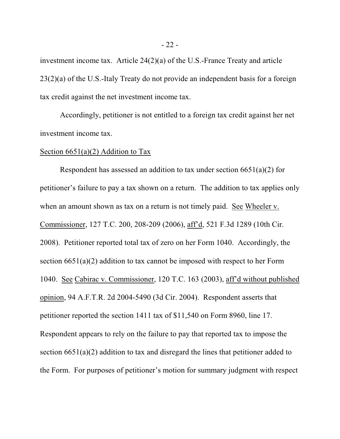investment income tax. Article 24(2)(a) of the U.S.-France Treaty and article 23(2)(a) of the U.S.-Italy Treaty do not provide an independent basis for a foreign tax credit against the net investment income tax.

Accordingly, petitioner is not entitled to a foreign tax credit against her net investment income tax.

## Section  $6651(a)(2)$  Addition to Tax

Respondent has assessed an addition to tax under section  $6651(a)(2)$  for petitioner's failure to pay a tax shown on a return. The addition to tax applies only when an amount shown as tax on a return is not timely paid. See Wheeler v. Commissioner, 127 T.C. 200, 208-209 (2006), aff'd, 521 F.3d 1289 (10th Cir. 2008). Petitioner reported total tax of zero on her Form 1040. Accordingly, the section 6651(a)(2) addition to tax cannot be imposed with respect to her Form 1040. See Cabirac v. Commissioner, 120 T.C. 163 (2003), aff'd without published opinion, 94 A.F.T.R. 2d 2004-5490 (3d Cir. 2004). Respondent asserts that petitioner reported the section 1411 tax of \$11,540 on Form 8960, line 17. Respondent appears to rely on the failure to pay that reported tax to impose the section 6651(a)(2) addition to tax and disregard the lines that petitioner added to the Form. For purposes of petitioner's motion for summary judgment with respect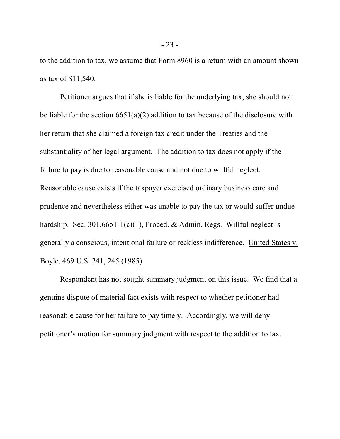to the addition to tax, we assume that Form 8960 is a return with an amount shown as tax of \$11,540.

Petitioner argues that if she is liable for the underlying tax, she should not be liable for the section  $6651(a)(2)$  addition to tax because of the disclosure with her return that she claimed a foreign tax credit under the Treaties and the substantiality of her legal argument. The addition to tax does not apply if the failure to pay is due to reasonable cause and not due to willful neglect. Reasonable cause exists if the taxpayer exercised ordinary business care and prudence and nevertheless either was unable to pay the tax or would suffer undue hardship. Sec.  $301.6651-1(c)(1)$ , Proced. & Admin. Regs. Willful neglect is generally a conscious, intentional failure or reckless indifference. United States v. Boyle, 469 U.S. 241, 245 (1985).

Respondent has not sought summary judgment on this issue. We find that a genuine dispute of material fact exists with respect to whether petitioner had reasonable cause for her failure to pay timely. Accordingly, we will deny petitioner's motion for summary judgment with respect to the addition to tax.